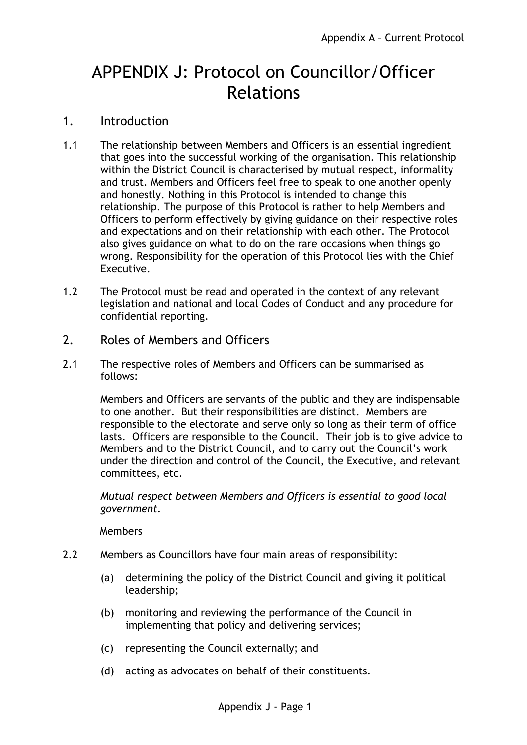# APPENDIX J: Protocol on Councillor/Officer Relations

## 1. Introduction

- 1.1 The relationship between Members and Officers is an essential ingredient that goes into the successful working of the organisation. This relationship within the District Council is characterised by mutual respect, informality and trust. Members and Officers feel free to speak to one another openly and honestly. Nothing in this Protocol is intended to change this relationship. The purpose of this Protocol is rather to help Members and Officers to perform effectively by giving guidance on their respective roles and expectations and on their relationship with each other. The Protocol also gives guidance on what to do on the rare occasions when things go wrong. Responsibility for the operation of this Protocol lies with the Chief Executive.
- 1.2 The Protocol must be read and operated in the context of any relevant legislation and national and local Codes of Conduct and any procedure for confidential reporting.
- 2. Roles of Members and Officers
- 2.1 The respective roles of Members and Officers can be summarised as follows:

Members and Officers are servants of the public and they are indispensable to one another. But their responsibilities are distinct. Members are responsible to the electorate and serve only so long as their term of office lasts. Officers are responsible to the Council. Their job is to give advice to Members and to the District Council, and to carry out the Council's work under the direction and control of the Council, the Executive, and relevant committees, etc.

*Mutual respect between Members and Officers is essential to good local government.*

Members

- 2.2 Members as Councillors have four main areas of responsibility:
	- (a) determining the policy of the District Council and giving it political leadership;
	- (b) monitoring and reviewing the performance of the Council in implementing that policy and delivering services;
	- (c) representing the Council externally; and
	- (d) acting as advocates on behalf of their constituents.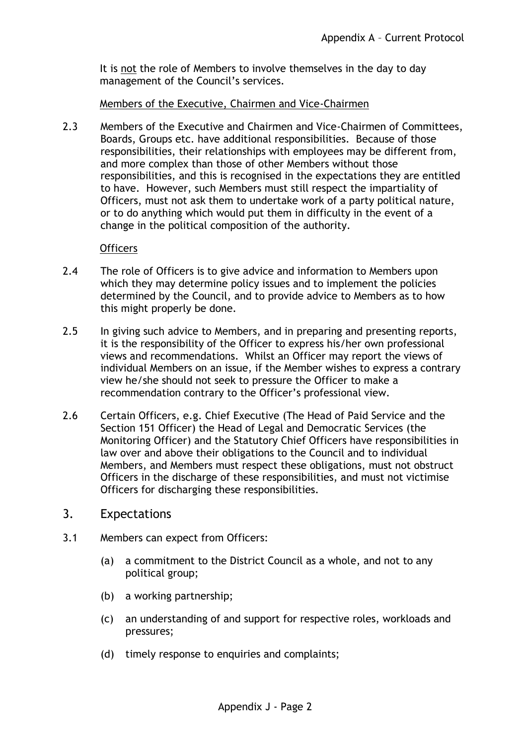It is not the role of Members to involve themselves in the day to day management of the Council's services.

Members of the Executive, Chairmen and Vice-Chairmen

2.3 Members of the Executive and Chairmen and Vice-Chairmen of Committees, Boards, Groups etc. have additional responsibilities. Because of those responsibilities, their relationships with employees may be different from, and more complex than those of other Members without those responsibilities, and this is recognised in the expectations they are entitled to have. However, such Members must still respect the impartiality of Officers, must not ask them to undertake work of a party political nature, or to do anything which would put them in difficulty in the event of a change in the political composition of the authority.

#### **Officers**

- 2.4 The role of Officers is to give advice and information to Members upon which they may determine policy issues and to implement the policies determined by the Council, and to provide advice to Members as to how this might properly be done.
- 2.5 In giving such advice to Members, and in preparing and presenting reports, it is the responsibility of the Officer to express his/her own professional views and recommendations. Whilst an Officer may report the views of individual Members on an issue, if the Member wishes to express a contrary view he/she should not seek to pressure the Officer to make a recommendation contrary to the Officer's professional view.
- 2.6 Certain Officers, e.g. Chief Executive (The Head of Paid Service and the Section 151 Officer) the Head of Legal and Democratic Services (the Monitoring Officer) and the Statutory Chief Officers have responsibilities in law over and above their obligations to the Council and to individual Members, and Members must respect these obligations, must not obstruct Officers in the discharge of these responsibilities, and must not victimise Officers for discharging these responsibilities.
- 3. Expectations
- 3.1 Members can expect from Officers:
	- (a) a commitment to the District Council as a whole, and not to any political group;
	- (b) a working partnership;
	- (c) an understanding of and support for respective roles, workloads and pressures;
	- (d) timely response to enquiries and complaints;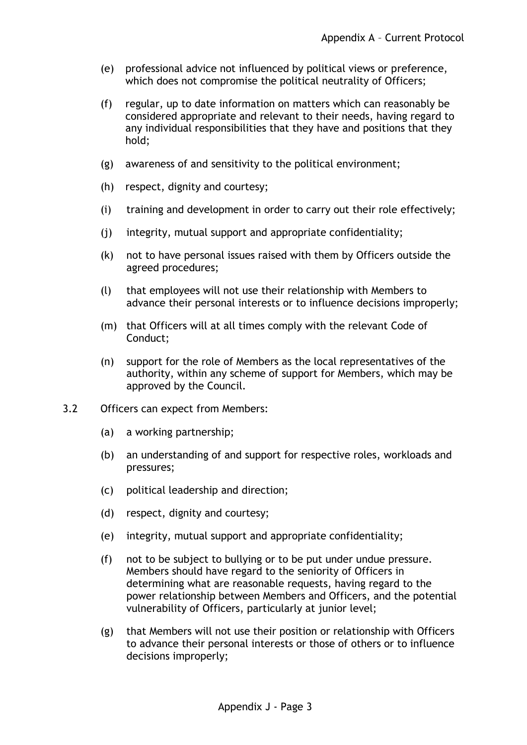- (e) professional advice not influenced by political views or preference, which does not compromise the political neutrality of Officers;
- (f) regular, up to date information on matters which can reasonably be considered appropriate and relevant to their needs, having regard to any individual responsibilities that they have and positions that they hold;
- (g) awareness of and sensitivity to the political environment;
- (h) respect, dignity and courtesy;
- (i) training and development in order to carry out their role effectively;
- (j) integrity, mutual support and appropriate confidentiality;
- (k) not to have personal issues raised with them by Officers outside the agreed procedures;
- (l) that employees will not use their relationship with Members to advance their personal interests or to influence decisions improperly;
- (m) that Officers will at all times comply with the relevant Code of Conduct;
- (n) support for the role of Members as the local representatives of the authority, within any scheme of support for Members, which may be approved by the Council.
- 3.2 Officers can expect from Members:
	- (a) a working partnership;
	- (b) an understanding of and support for respective roles, workloads and pressures;
	- (c) political leadership and direction;
	- (d) respect, dignity and courtesy;
	- (e) integrity, mutual support and appropriate confidentiality;
	- (f) not to be subject to bullying or to be put under undue pressure. Members should have regard to the seniority of Officers in determining what are reasonable requests, having regard to the power relationship between Members and Officers, and the potential vulnerability of Officers, particularly at junior level;
	- (g) that Members will not use their position or relationship with Officers to advance their personal interests or those of others or to influence decisions improperly;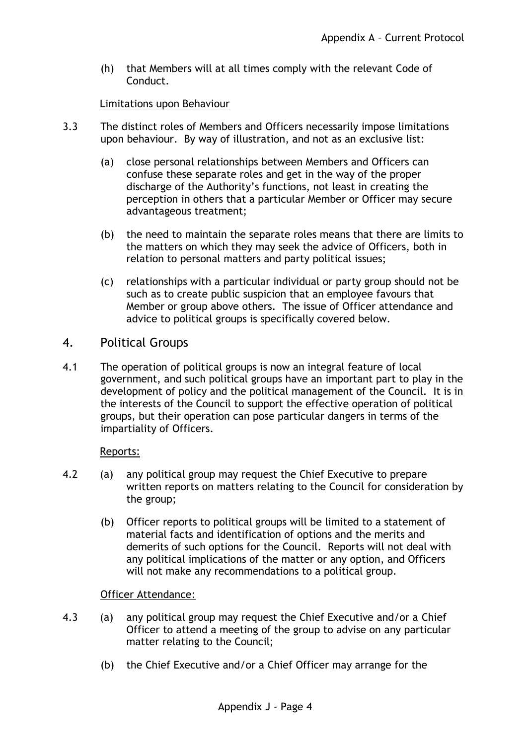(h) that Members will at all times comply with the relevant Code of Conduct.

#### Limitations upon Behaviour

- 3.3 The distinct roles of Members and Officers necessarily impose limitations upon behaviour. By way of illustration, and not as an exclusive list:
	- (a) close personal relationships between Members and Officers can confuse these separate roles and get in the way of the proper discharge of the Authority's functions, not least in creating the perception in others that a particular Member or Officer may secure advantageous treatment;
	- (b) the need to maintain the separate roles means that there are limits to the matters on which they may seek the advice of Officers, both in relation to personal matters and party political issues;
	- (c) relationships with a particular individual or party group should not be such as to create public suspicion that an employee favours that Member or group above others. The issue of Officer attendance and advice to political groups is specifically covered below.

### 4. Political Groups

4.1 The operation of political groups is now an integral feature of local government, and such political groups have an important part to play in the development of policy and the political management of the Council. It is in the interests of the Council to support the effective operation of political groups, but their operation can pose particular dangers in terms of the impartiality of Officers.

#### Reports:

- 4.2 (a) any political group may request the Chief Executive to prepare written reports on matters relating to the Council for consideration by the group;
	- (b) Officer reports to political groups will be limited to a statement of material facts and identification of options and the merits and demerits of such options for the Council. Reports will not deal with any political implications of the matter or any option, and Officers will not make any recommendations to a political group.

#### Officer Attendance:

- 4.3 (a) any political group may request the Chief Executive and/or a Chief Officer to attend a meeting of the group to advise on any particular matter relating to the Council;
	- (b) the Chief Executive and/or a Chief Officer may arrange for the